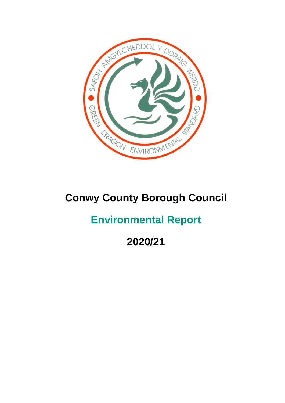

# **Conwy County Borough Council**

# **Environmental Report**

**2020/21**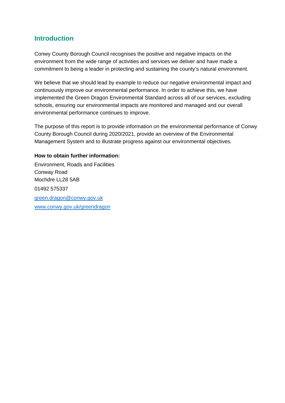# **Introduction**

Conwy County Borough Council recognises the positive and negative impacts on the environment from the wide range of activities and services we deliver and have made a commitment to being a leader in protecting and sustaining the county's natural environment.

We believe that we should lead by example to reduce our negative environmental impact and continuously improve our environmental performance. In order to achieve this, we have implemented the Green Dragon Environmental Standard across all of our services, excluding schools, ensuring our environmental impacts are monitored and managed and our overall environmental performance continues to improve.

The purpose of this report is to provide information on the environmental performance of Conwy County Borough Council during 2020/2021, provide an overview of the Environmental Management System and to illustrate progress against our environmental objectives.

# **How to obtain further information:**

Environment, Roads and Facilities Conway Road Mochdre LL28 5AB 01492 575337 [green.dragon@conwy.gov.uk](mailto:green.dragon@conwy.gov.uk) [www.conwy.gov.uk/greendragon](http://www.conwy.gov.uk/greendragon)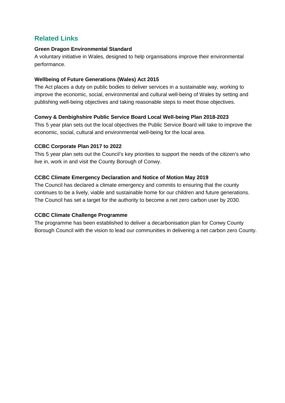# **Related Links**

## **Green Dragon Environmental Standard**

A voluntary initiative in Wales, designed to help organisations improve their environmental performance.

# **Wellbeing of Future Generations (Wales) Act 2015**

The Act places a duty on public bodies to deliver services in a sustainable way, working to improve the economic, social, environmental and cultural well-being of Wales by setting and publishing well-being objectives and taking reasonable steps to meet those objectives.

# **Conwy & Denbighshire Public Service Board Local Well-being Plan 2018-2023**

This 5 year plan sets out the local objectives the Public Service Board will take to improve the economic, social, cultural and environmental well-being for the local area.

# **CCBC Corporate Plan 2017 to 2022**

This 5 year plan sets out the Council's key priorities to support the needs of the citizen's who live in, work in and visit the County Borough of Conwy.

# **CCBC Climate Emergency Declaration and Notice of Motion May 2019**

The Council has declared a climate emergency and commits to ensuring that the county continues to be a lively, viable and sustainable home for our children and future generations. The Council has set a target for the authority to become a net zero carbon user by 2030.

# **CCBC Climate Challenge Programme**

The programme has been established to deliver a decarbonisation plan for Conwy County Borough Council with the vision to lead our communities in delivering a net carbon zero County.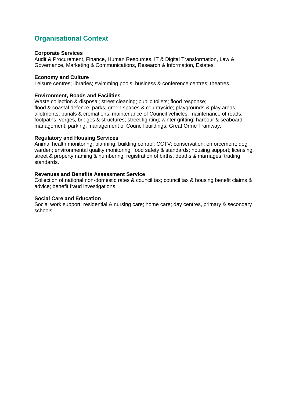# **Organisational Context**

#### **Corporate Services**

Audit & Procurement, Finance, Human Resources, IT & Digital Transformation, Law & Governance, Marketing & Communications, Research & Information, Estates.

#### **Economy and Culture**

Leisure centres; libraries; swimming pools; business & conference centres; theatres.

#### **Environment, Roads and Facilities**

Waste collection & disposal; street cleaning; public toilets; flood response; flood & coastal defence; parks, green spaces & countryside; playgrounds & play areas; allotments; burials & cremations; maintenance of Council vehicles; maintenance of roads, footpaths, verges, bridges & structures; street lighting; winter gritting; harbour & seaboard management; parking; management of Council buildings; Great Orme Tramway.

#### **Regulatory and Housing Services**

Animal health monitoring; planning; building control; CCTV; conservation; enforcement; dog warden; environmental quality monitoring; food safety & standards; housing support; licensing; street & property naming & numbering; registration of births, deaths & marriages; trading standards.

#### **Revenues and Benefits Assessment Service**

Collection of national non-domestic rates & council tax; council tax & housing benefit claims & advice; benefit fraud investigations.

#### **Social Care and Education**

Social work support; residential & nursing care; home care; day centres, primary & secondary schools.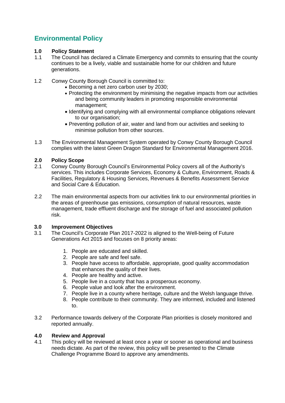# **Environmental Policy**

## **1.0 Policy Statement**

- 1.1 The Council has declared a Climate Emergency and commits to ensuring that the county continues to be a lively, viable and sustainable home for our children and future generations.
- 1.2 Conwy County Borough Council is committed to:
	- Becoming a net zero carbon user by 2030;
	- Protecting the environment by minimising the negative impacts from our activities and being community leaders in promoting responsible environmental management;
	- Identifying and complying with all environmental compliance obligations relevant to our organisation;
	- Preventing pollution of air, water and land from our activities and seeking to minimise pollution from other sources.
- 1.3 The Environmental Management System operated by Conwy County Borough Council complies with the latest Green Dragon Standard for Environmental Management 2016.

### **2.0 Policy Scope**

- 2.1 Conwy County Borough Council's Environmental Policy covers all of the Authority's services. This includes Corporate Services, Economy & Culture, Environment, Roads & Facilities, Regulatory & Housing Services, Revenues & Benefits Assessment Service and Social Care & Education.
- 2.2 The main environmental aspects from our activities link to our environmental priorities in the areas of greenhouse gas emissions, consumption of natural resources, waste management, trade effluent discharge and the storage of fuel and associated pollution risk.

#### **3.0 Improvement Objectives**

- 3.1 The Council's Corporate Plan 2017-2022 is aligned to the Well-being of Future Generations Act 2015 and focuses on 8 priority areas:
	- 1. People are educated and skilled.
	- 2. People are safe and feel safe.
	- 3. People have access to affordable, appropriate, good quality accommodation that enhances the quality of their lives.
	- 4. People are healthy and active.
	- 5. People live in a county that has a prosperous economy.
	- 6. People value and look after the environment.
	- 7. People live in a county where heritage, culture and the Welsh language thrive.
	- 8. People contribute to their community. They are informed, included and listened to.
- 3.2 Performance towards delivery of the Corporate Plan priorities is closely monitored and reported annually.

#### **4.0 Review and Approval**

4.1 This policy will be reviewed at least once a year or sooner as operational and business needs dictate. As part of the review, this policy will be presented to the Climate Challenge Programme Board to approve any amendments.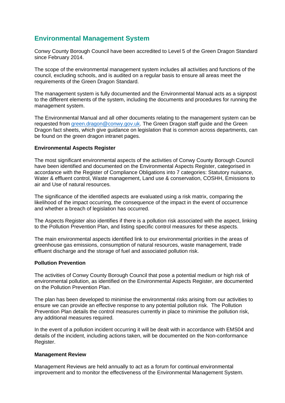# **Environmental Management System**

Conwy County Borough Council have been accredited to Level 5 of the Green Dragon Standard since February 2014.

The scope of the environmental management system includes all activities and functions of the council, excluding schools, and is audited on a regular basis to ensure all areas meet the requirements of the Green Dragon Standard.

The management system is fully documented and the Environmental Manual acts as a signpost to the different elements of the system, including the documents and procedures for running the management system.

The Environmental Manual and all other documents relating to the management system can be requested from [green.dragon@conwy.gov.uk.](mailto:green.dragon@conwy.gov.uk) The Green Dragon staff guide and the Green Dragon fact sheets, which give guidance on legislation that is common across departments, can be found on the green dragon intranet pages.

#### **Environmental Aspects Register**

The most significant environmental aspects of the activities of Conwy County Borough Council have been identified and documented on the Environmental Aspects Register, categorised in accordance with the Register of Compliance Obligations into 7 categories: Statutory nuisance, Water & effluent control, Waste management, Land use & conservation, COSHH, Emissions to air and Use of natural resources.

The significance of the identified aspects are evaluated using a risk matrix, comparing the likelihood of the impact occurring, the consequence of the impact in the event of occurrence and whether a breach of legislation has occurred.

The Aspects Register also identifies if there is a pollution risk associated with the aspect, linking to the Pollution Prevention Plan, and listing specific control measures for these aspects.

The main environmental aspects identified link to our environmental priorities in the areas of greenhouse gas emissions, consumption of natural resources, waste management, trade effluent discharge and the storage of fuel and associated pollution risk.

#### **Pollution Prevention**

The activities of Conwy County Borough Council that pose a potential medium or high risk of environmental pollution, as identified on the Environmental Aspects Register, are documented on the Pollution Prevention Plan.

The plan has been developed to minimise the environmental risks arising from our activities to ensure we can provide an effective response to any potential pollution risk. The Pollution Prevention Plan details the control measures currently in place to minimise the pollution risk, any additional measures required.

In the event of a pollution incident occurring it will be dealt with in accordance with EMS04 and details of the incident, including actions taken, will be documented on the Non-conformance Register.

#### **Management Review**

Management Reviews are held annually to act as a forum for continual environmental improvement and to monitor the effectiveness of the Environmental Management System.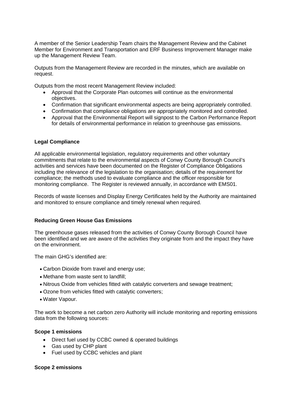A member of the Senior Leadership Team chairs the Management Review and the Cabinet Member for Environment and Transportation and ERF Business Improvement Manager make up the Management Review Team.

Outputs from the Management Review are recorded in the minutes, which are available on request.

Outputs from the most recent Management Review included:

- Approval that the Corporate Plan outcomes will continue as the environmental objectives.
- Confirmation that significant environmental aspects are being appropriately controlled.
- Confirmation that compliance obligations are appropriately monitored and controlled.
- Approval that the Environmental Report will signpost to the Carbon Performance Report for details of environmental performance in relation to greenhouse gas emissions.

#### **Legal Compliance**

All applicable environmental legislation, regulatory requirements and other voluntary commitments that relate to the environmental aspects of Conwy County Borough Council's activities and services have been documented on the Register of Compliance Obligations including the relevance of the legislation to the organisation; details of the requirement for compliance; the methods used to evaluate compliance and the officer responsible for monitoring compliance. The Register is reviewed annually, in accordance with EMS01.

Records of waste licenses and Display Energy Certificates held by the Authority are maintained and monitored to ensure compliance and timely renewal when required.

#### **Reducing Green House Gas Emissions**

The greenhouse gases released from the activities of Conwy County Borough Council have been identified and we are aware of the activities they originate from and the impact they have on the environment.

The main GHG's identified are:

- Carbon Dioxide from travel and energy use;
- Methane from waste sent to landfill:
- Nitrous Oxide from vehicles fitted with catalytic converters and sewage treatment;
- Ozone from vehicles fitted with catalytic converters;
- Water Vapour.

The work to become a net carbon zero Authority will include monitoring and reporting emissions data from the following sources:

#### **Scope 1 emissions**

- Direct fuel used by CCBC owned & operated buildings
- Gas used by CHP plant
- Fuel used by CCBC vehicles and plant

#### **Scope 2 emissions**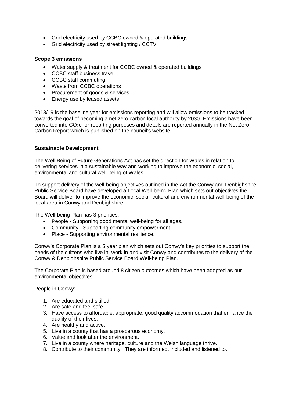- Grid electricity used by CCBC owned & operated buildings
- Grid electricity used by street lighting / CCTV

#### **Scope 3 emissions**

- Water supply & treatment for CCBC owned & operated buildings
- CCBC staff business travel
- CCBC staff commuting
- Waste from CCBC operations
- Procurement of goods & services
- Energy use by leased assets

2018/19 is the baseline year for emissions reporting and will allow emissions to be tracked towards the goal of becoming a net zero carbon local authority by 2030. Emissions have been converted into CO<sub>2</sub>e for reporting purposes and details are reported annually in the Net Zero Carbon Report which is published on the council's website.

#### **Sustainable Development**

The Well Being of Future Generations Act has set the direction for Wales in relation to delivering services in a sustainable way and working to improve the economic, social, environmental and cultural well-being of Wales.

To support delivery of the well-being objectives outlined in the Act the Conwy and Denbighshire Public Service Board have developed a Local Well-being Plan which sets out objectives the Board will deliver to improve the economic, social, cultural and environmental well-being of the local area in Conwy and Denbighshire.

The Well-being Plan has 3 priorities:

- People Supporting good mental well-being for all ages.
- Community Supporting community empowerment.
- Place Supporting environmental resilience.

Conwy's Corporate Plan is a 5 year plan which sets out Conwy's key priorities to support the needs of the citizens who live in, work in and visit Conwy and contributes to the delivery of the Conwy & Denbighshire Public Service Board Well-being Plan.

The Corporate Plan is based around 8 citizen outcomes which have been adopted as our environmental objectives.

People in Conwy:

- 1. Are educated and skilled.
- 2. Are safe and feel safe.
- 3. Have access to affordable, appropriate, good quality accommodation that enhance the quality of their lives.
- 4. Are healthy and active.
- 5. Live in a county that has a prosperous economy.
- 6. Value and look after the environment.
- 7. Live in a county where heritage, culture and the Welsh language thrive.
- 8. Contribute to their community. They are informed, included and listened to.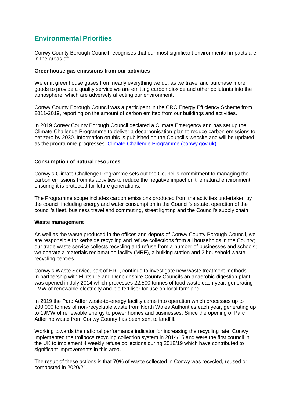# **Environmental Priorities**

Conwy County Borough Council recognises that our most significant environmental impacts are in the areas of:

#### **Greenhouse gas emissions from our activities**

We emit greenhouse gases from nearly everything we do, as we travel and purchase more goods to provide a quality service we are emitting carbon dioxide and other pollutants into the atmosphere, which are adversely affecting our environment.

Conwy County Borough Council was a participant in the CRC Energy Efficiency Scheme from 2011-2019, reporting on the amount of carbon emitted from our buildings and activities.

In 2019 Conwy County Borough Council declared a Climate Emergency and has set up the Climate Challenge Programme to deliver a decarbonisation plan to reduce carbon emissions to net zero by 2030. Information on this is published on the Council's website and will be updated as the programme progresses. [Climate Challenge Programme \(conwy.gov.uk\)](https://www.conwy.gov.uk/en/Council/Strategies-Plans-and-Policies/Climate-Change/Climate-Challenge-Programme.aspx)

#### **Consumption of natural resources**

Conwy's Climate Challenge Programme sets out the Council's commitment to managing the carbon emissions from its activities to reduce the negative impact on the natural environment, ensuring it is protected for future generations.

The Programme scope includes carbon emissions produced from the activities undertaken by the council including energy and water consumption in the Council's estate, operation of the council's fleet, business travel and commuting, street lighting and the Council's supply chain.

#### **Waste management**

As well as the waste produced in the offices and depots of Conwy County Borough Council, we are responsible for kerbside recycling and refuse collections from all households in the County; our trade waste service collects recycling and refuse from a number of businesses and schools; we operate a materials reclamation facility (MRF), a bulking station and 2 household waste recycling centres.

Conwy's Waste Service, part of ERF, continue to investigate new waste treatment methods. In partnership with Flintshire and Denbighshire County Councils an anaerobic digestion plant was opened in July 2014 which processes 22,500 tonnes of food waste each year, generating 1MW of renewable electricity and bio fertiliser for use on local farmland.

In 2019 the Parc Adfer waste-to-energy facility came into operation which processes up to 200,000 tonnes of non-recyclable waste from North Wales Authorities each year, generating up to 19MW of renewable energy to power homes and businesses. Since the opening of Parc Adfer no waste from Conwy County has been sent to landfill.

Working towards the national performance indicator for increasing the recycling rate, Conwy implemented the trolibocs recycling collection system in 2014/15 and were the first council in the UK to implement 4 weekly refuse collections during 2018/19 which have contributed to significant improvements in this area.

The result of these actions is that 70% of waste collected in Conwy was recycled, reused or composted in 2020/21.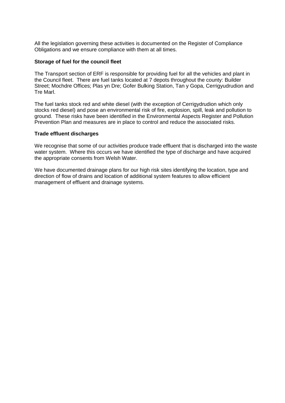All the legislation governing these activities is documented on the Register of Compliance Obligations and we ensure compliance with them at all times.

#### **Storage of fuel for the council fleet**

The Transport section of ERF is responsible for providing fuel for all the vehicles and plant in the Council fleet. There are fuel tanks located at 7 depots throughout the county: Builder Street; Mochdre Offices; Plas yn Dre; Gofer Bulking Station, Tan y Gopa, Cerrigyudrudion and Tre Marl.

The fuel tanks stock red and white diesel (with the exception of Cerrigydrudion which only stocks red diesel) and pose an environmental risk of fire, explosion, spill, leak and pollution to ground. These risks have been identified in the Environmental Aspects Register and Pollution Prevention Plan and measures are in place to control and reduce the associated risks.

#### **Trade effluent discharges**

We recognise that some of our activities produce trade effluent that is discharged into the waste water system. Where this occurs we have identified the type of discharge and have acquired the appropriate consents from Welsh Water.

We have documented drainage plans for our high risk sites identifying the location, type and direction of flow of drains and location of additional system features to allow efficient management of effluent and drainage systems.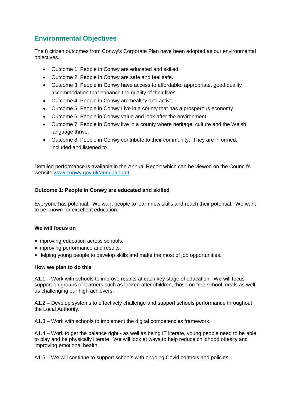# **Environmental Objectives**

The 8 citizen outcomes from Conwy's Corporate Plan have been adopted as our environmental objectives.

- Outcome 1. People in Conwy are educated and skilled.
- Outcome 2. People in Conwy are safe and feel safe.
- Outcome 3. People in Conwy have access to affordable, appropriate, good quality accommodation that enhance the quality of their lives.
- Outcome 4. People in Conwy are healthy and active.
- Outcome 5. People in Conwy Live in a county that has a prosperous economy.
- Outcome 6. People in Conwy value and look after the environment.
- Outcome 7. People in Conwy live in a county where heritage, culture and the Welsh language thrive.
- Outcome 8. People in Conwy contribute to their community. They are informed, included and listened to.

Detailed performance is available in the Annual Report which can be viewed on the Council's website [www.conwy.gov.uk/annualreport](http://www.conwy.gov.uk/annualreport)

# **Outcome 1: People in Conwy are educated and skilled**

Everyone has potential. We want people to learn new skills and reach their potential. We want to be known for excellent education.

# **We will focus on**

- Improving education across schools.
- Improving performance and results.
- Helping young people to develop skills and make the most of job opportunities.

#### **How we plan to do this**

A1.1 – Work with schools to improve results at each key stage of education. We will focus support on groups of learners such as looked after children, those on free school meals as well as challenging our high achievers.

A1.2 – Develop systems to effectively challenge and support schools performance throughout the Local Authority.

A1.3 – Work with schools to implement the digital competencies framework.

A1.4 – Work to get the balance right - as well as being IT literate, young people need to be able to play and be physically literate. We will look at ways to help reduce childhood obesity and improving emotional health.

A1.5 – We will continue to support schools with ongoing Covid controls and policies.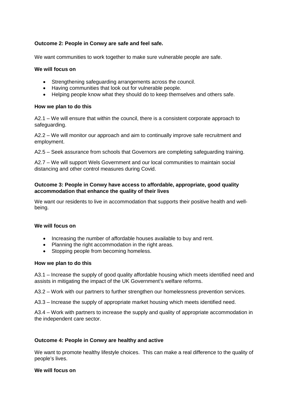## **Outcome 2: People in Conwy are safe and feel safe.**

We want communities to work together to make sure vulnerable people are safe.

#### **We will focus on**

- Strengthening safeguarding arrangements across the council.
- Having communities that look out for vulnerable people.
- Helping people know what they should do to keep themselves and others safe.

#### **How we plan to do this**

A2.1 – We will ensure that within the council, there is a consistent corporate approach to safeguarding.

A2.2 – We will monitor our approach and aim to continually improve safe recruitment and employment.

A2.5 – Seek assurance from schools that Governors are completing safeguarding training.

A2.7 – We will support Wels Government and our local communities to maintain social distancing and other control measures during Covid.

#### **Outcome 3: People in Conwy have access to affordable, appropriate, good quality accommodation that enhance the quality of their lives**

We want our residents to live in accommodation that supports their positive health and wellbeing.

#### **We will focus on**

- Increasing the number of affordable houses available to buy and rent.
- Planning the right accommodation in the right areas.
- Stopping people from becoming homeless.

#### **How we plan to do this**

A3.1 – Increase the supply of good quality affordable housing which meets identified need and assists in mitigating the impact of the UK Government's welfare reforms.

A3.2 – Work with our partners to further strengthen our homelessness prevention services.

A3.3 – Increase the supply of appropriate market housing which meets identified need.

A3.4 – Work with partners to increase the supply and quality of appropriate accommodation in the independent care sector.

#### **Outcome 4: People in Conwy are healthy and active**

We want to promote healthy lifestyle choices. This can make a real difference to the quality of people's lives.

#### **We will focus on**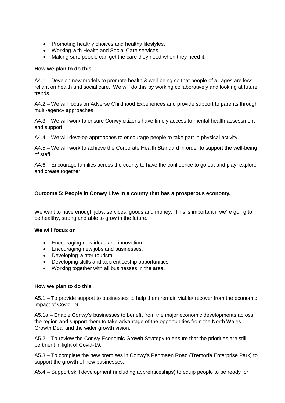- Promoting healthy choices and healthy lifestyles.
- Working with Health and Social Care services.
- Making sure people can get the care they need when they need it.

#### **How we plan to do this**

A4.1 – Develop new models to promote health & well-being so that people of all ages are less reliant on health and social care. We will do this by working collaboratively and looking at future trends.

A4.2 – We will focus on Adverse Childhood Experiences and provide support to parents through multi-agency approaches.

A4.3 – We will work to ensure Conwy citizens have timely access to mental health assessment and support.

A4.4 – We will develop approaches to encourage people to take part in physical activity.

A4.5 – We will work to achieve the Corporate Health Standard in order to support the well-being of staff.

A4.6 – Encourage families across the county to have the confidence to go out and play, explore and create together.

#### **Outcome 5: People in Conwy Live in a county that has a prosperous economy.**

We want to have enough jobs, services, goods and money. This is important if we're going to be healthy, strong and able to grow in the future.

#### **We will focus on**

- Encouraging new ideas and innovation.
- Encouraging new jobs and businesses.
- Developing winter tourism.
- Developing skills and apprenticeship opportunities.
- Working together with all businesses in the area.

#### **How we plan to do this**

A5.1 – To provide support to businesses to help them remain viable/ recover from the economic impact of Covid-19.

A5.1a – Enable Conwy's businesses to benefit from the major economic developments across the region and support them to take advantage of the opportunities from the North Wales Growth Deal and the wider growth vision.

A5.2 – To review the Conwy Economic Growth Strategy to ensure that the priorities are still pertinent in light of Covid-19.

A5.3 – To complete the new premises in Conwy's Penmaen Road (Tremorfa Enterprise Park) to support the growth of new businesses.

A5.4 – Support skill development (including apprenticeships) to equip people to be ready for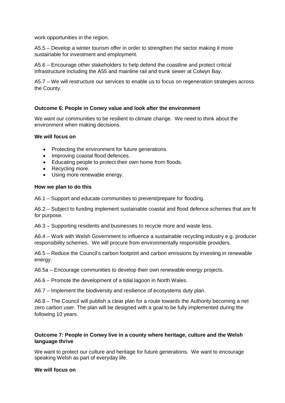work opportunities in the region.

A5.5 – Develop a winter tourism offer in order to strengthen the sector making it more sustainable for investment and employment.

A5.6 – Encourage other stakeholders to help defend the coastline and protect critical infrastructure including the A55 and mainline rail and trunk sewer at Colwyn Bay.

A5.7 – We will restructure our services to enable us to focus on regeneration strategies across the County.

#### **Outcome 6: People in Conwy value and look after the environment**

We want our communities to be resilient to climate change. We need to think about the environment when making decisions.

#### **We will focus on**

- Protecting the environment for future generations.
- Improving coastal flood defences.
- Educating people to protect their own home from floods.
- Recycling more.
- Using more renewable energy.

#### **How we plan to do this**

A6.1 – Support and educate communities to prevent/prepare for flooding.

A6.2 – Subject to funding implement sustainable coastal and flood defence schemes that are fit for purpose.

A6.3 – Supporting residents and businesses to recycle more and waste less.

A6.4 – Work with Welsh Government to influence a sustainable recycling industry e.g. producer responsibility schemes. We will procure from environmentally responsible providers.

A6.5 – Reduce the Council's carbon footprint and carbon emissions by investing in renewable energy.

A6.5a – Encourage communities to develop their own renewable energy projects.

A6.6 – Promote the development of a tidal lagoon in North Wales.

A6.7 – Implement the biodiversity and resilience of ecosystems duty plan.

A6.8 – The Council will publish a clear plan for a route towards the Authority becoming a net zero carbon user. The plan will be designed with a goal to be fully implemented during the following 10 years.

#### **Outcome 7: People in Conwy live in a county where heritage, culture and the Welsh language thrive**

We want to protect our culture and heritage for future generations. We want to encourage speaking Welsh as part of everyday life.

#### **We will focus on**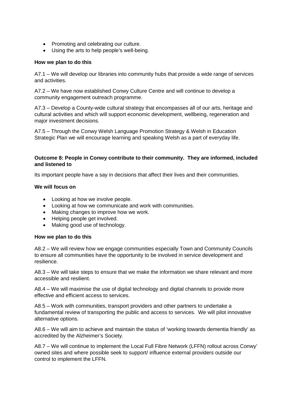- Promoting and celebrating our culture.
- Using the arts to help people's well-being.

#### **How we plan to do this**

A7.1 – We will develop our libraries into community hubs that provide a wide range of services and activities.

A7.2 – We have now established Conwy Culture Centre and will continue to develop a community engagement outreach programme.

A7.3 – Develop a County-wide cultural strategy that encompasses all of our arts, heritage and cultural activities and which will support economic development, wellbeing, regeneration and major investment decisions.

A7.5 – Through the Conwy Welsh Language Promotion Strategy & Welsh in Education Strategic Plan we will encourage learning and speaking Welsh as a part of everyday life.

#### **Outcome 8: People in Conwy contribute to their community. They are informed, included and listened to**

Its important people have a say in decisions that affect their lives and their communities.

#### **We will focus on**

- Looking at how we involve people.
- Looking at how we communicate and work with communities.
- Making changes to improve how we work.
- Helping people get involved.
- Making good use of technology.

#### **How we plan to do this**

A8.2 – We will review how we engage communities especially Town and Community Councils to ensure all communities have the opportunity to be involved in service development and resilience.

A8.3 – We will take steps to ensure that we make the information we share relevant and more accessible and resilient.

A8.4 – We will maximise the use of digital technology and digital channels to provide more effective and efficient access to services.

A8.5 – Work with communities, transport providers and other partners to undertake a fundamental review of transporting the public and access to services. We will pilot innovative alternative options.

A8.6 – We will aim to achieve and maintain the status of 'working towards dementia friendly' as accredited by the Alzheimer's Society.

A8.7 – We will continue to implement the Local Full Fibre Network (LFFN) rollout across Conwy' owned sites and where possible seek to support/ influence external providers outside our control to implement the LFFN.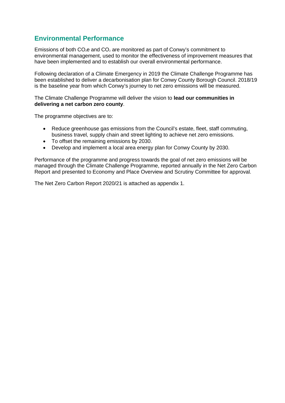# **Environmental Performance**

Emissions of both  $CO<sub>2</sub>e$  and  $CO<sub>2</sub>$  are monitored as part of Conwy's commitment to environmental management, used to monitor the effectiveness of improvement measures that have been implemented and to establish our overall environmental performance.

Following declaration of a Climate Emergency in 2019 the Climate Challenge Programme has been established to deliver a decarbonisation plan for Conwy County Borough Council. 2018/19 is the baseline year from which Conwy's journey to net zero emissions will be measured.

The Climate Challenge Programme will deliver the vision to **lead our communities in delivering a net carbon zero county**.

The programme objectives are to:

- Reduce greenhouse gas emissions from the Council's estate, fleet, staff commuting, business travel, supply chain and street lighting to achieve net zero emissions.
- To offset the remaining emissions by 2030.
- Develop and implement a local area energy plan for Conwy County by 2030.

Performance of the programme and progress towards the goal of net zero emissions will be managed through the Climate Challenge Programme, reported annually in the Net Zero Carbon Report and presented to Economy and Place Overview and Scrutiny Committee for approval.

The Net Zero Carbon Report 2020/21 is attached as appendix 1.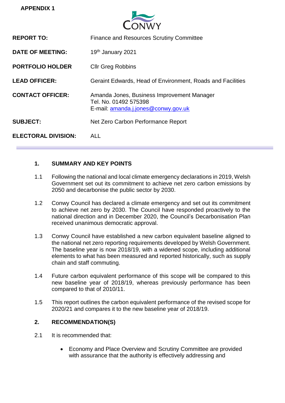

| <b>REPORT TO:</b>          | <b>Finance and Resources Scrutiny Committee</b>                                                            |
|----------------------------|------------------------------------------------------------------------------------------------------------|
| <b>DATE OF MEETING:</b>    | 19th January 2021                                                                                          |
| <b>PORTFOLIO HOLDER</b>    | <b>Cllr Greg Robbins</b>                                                                                   |
| <b>LEAD OFFICER:</b>       | Geraint Edwards, Head of Environment, Roads and Facilities                                                 |
| <b>CONTACT OFFICER:</b>    | Amanda Jones, Business Improvement Manager<br>Tel. No. 01492 575398<br>E-mail: amanda.j.jones@conwy.gov.uk |
| <b>SUBJECT:</b>            | Net Zero Carbon Performance Report                                                                         |
| <b>ELECTORAL DIVISION:</b> | AI I                                                                                                       |

# **1. SUMMARY AND KEY POINTS**

- 1.1 Following the national and local climate emergency declarations in 2019, Welsh Government set out its commitment to achieve net zero carbon emissions by 2050 and decarbonise the public sector by 2030.
- 1.2 Conwy Council has declared a climate emergency and set out its commitment to achieve net zero by 2030. The Council have responded proactively to the national direction and in December 2020, the Council's Decarbonisation Plan received unanimous democratic approval.
- 1.3 Conwy Council have established a new carbon equivalent baseline aligned to the national net zero reporting requirements developed by Welsh Government. The baseline year is now 2018/19, with a widened scope, including additional elements to what has been measured and reported historically, such as supply chain and staff commuting.
- 1.4 Future carbon equivalent performance of this scope will be compared to this new baseline year of 2018/19, whereas previously performance has been compared to that of 2010/11.
- 1.5 This report outlines the carbon equivalent performance of the revised scope for 2020/21 and compares it to the new baseline year of 2018/19.

# **2. RECOMMENDATION(S)**

- 2.1 It is recommended that:
	- Economy and Place Overview and Scrutiny Committee are provided with assurance that the authority is effectively addressing and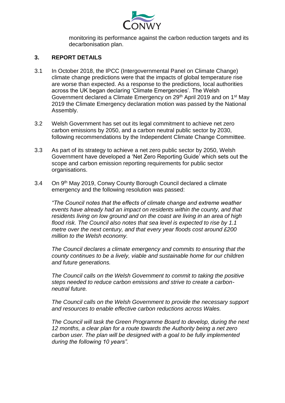

monitoring its performance against the carbon reduction targets and its decarbonisation plan.

# **3. REPORT DETAILS**

- 3.1 In October 2018, the IPCC (Intergovernmental Panel on Climate Change) climate change predictions were that the impacts of global temperature rise are worse than expected. As a response to the predictions, local authorities across the UK began declaring 'Climate Emergencies'. The Welsh Government declared a Climate Emergency on 29<sup>th</sup> April 2019 and on 1<sup>st</sup> May 2019 the Climate Emergency declaration motion was passed by the National Assembly.
- 3.2 Welsh Government has set out its legal commitment to achieve net zero carbon emissions by 2050, and a carbon neutral public sector by 2030, following recommendations by the Independent Climate Change Committee.
- 3.3 As part of its strategy to achieve a net zero public sector by 2050, Welsh Government have developed a 'Net Zero Reporting Guide' which sets out the scope and carbon emission reporting requirements for public sector organisations.
- 3.4 On 9th May 2019, Conwy County Borough Council declared a climate emergency and the following resolution was passed:

*"The Council notes that the effects of climate change and extreme weather events have already had an impact on residents within the county, and that residents living on low ground and on the coast are living in an area of high flood risk. The Council also notes that sea level is expected to rise by 1.1 metre over the next century, and that every year floods cost around £200 million to the Welsh economy.* 

*The Council declares a climate emergency and commits to ensuring that the county continues to be a lively, viable and sustainable home for our children and future generations.* 

*The Council calls on the Welsh Government to commit to taking the positive steps needed to reduce carbon emissions and strive to create a carbonneutral future.*

*The Council calls on the Welsh Government to provide the necessary support and resources to enable effective carbon reductions across Wales.*

*The Council will task the Green Programme Board to develop, during the next 12 months, a clear plan for a route towards the Authority being a net zero carbon user. The plan will be designed with a goal to be fully implemented during the following 10 years".*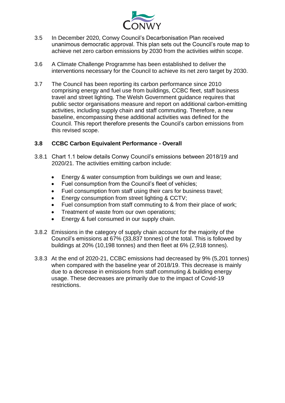

- 3.5 In December 2020, Conwy Council's Decarbonisation Plan received unanimous democratic approval. This plan sets out the Council's route map to achieve net zero carbon emissions by 2030 from the activities within scope.
- 3.6 A Climate Challenge Programme has been established to deliver the interventions necessary for the Council to achieve its net zero target by 2030.
- 3.7 The Council has been reporting its carbon performance since 2010 comprising energy and fuel use from buildings, CCBC fleet, staff business travel and street lighting. The Welsh Government guidance requires that public sector organisations measure and report on additional carbon-emitting activities, including supply chain and staff commuting. Therefore, a new baseline, encompassing these additional activities was defined for the Council. This report therefore presents the Council's carbon emissions from this revised scope.

# **3.8 CCBC Carbon Equivalent Performance - Overall**

- 3.8.1 Chart 1.1 below details Conwy Council's emissions between 2018/19 and 2020/21. The activities emitting carbon include:
	- Energy & water consumption from buildings we own and lease;
	- Fuel consumption from the Council's fleet of vehicles;
	- Fuel consumption from staff using their cars for business travel;
	- Energy consumption from street lighting & CCTV;
	- Fuel consumption from staff commuting to & from their place of work;
	- Treatment of waste from our own operations;
	- Energy & fuel consumed in our supply chain.
- 3.8.2 Emissions in the category of supply chain account for the majority of the Council's emissions at 67% (33,837 tonnes) of the total. This is followed by buildings at 20% (10,198 tonnes) and then fleet at 6% (2,918 tonnes).
- 3.8.3 At the end of 2020-21, CCBC emissions had decreased by 9% (5,201 tonnes) when compared with the baseline year of 2018/19. This decrease is mainly due to a decrease in emissions from staff commuting & building energy usage. These decreases are primarily due to the impact of Covid-19 restrictions.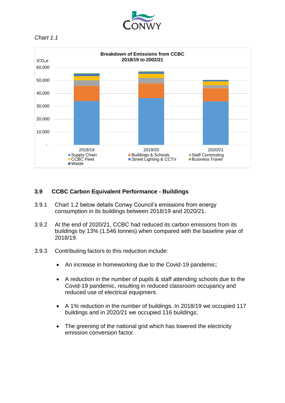





# **3.9 CCBC Carbon Equivalent Performance - Buildings**

- 3.9.1 Chart 1.2 below details Conwy Council's emissions from energy consumption in its buildings between 2018/19 and 2020/21.
- 3.9.2 At the end of 2020/21, CCBC had reduced its carbon emissions from its buildings by 13% (1,546 tonnes) when compared with the baseline year of 2018/19.
- 3.9.3 Contributing factors to this reduction include:
	- An increase in homeworking due to the Covid-19 pandemic;
	- A reduction in the number of pupils & staff attending schools due to the Covid-19 pandemic, resulting in reduced classroom occupancy and reduced use of electrical equipment.
	- A 1% reduction in the number of buildings. In 2018/19 we occupied 117 buildings and in 2020/21 we occupied 116 buildings;
	- The greening of the national grid which has lowered the electricity emission conversion factor.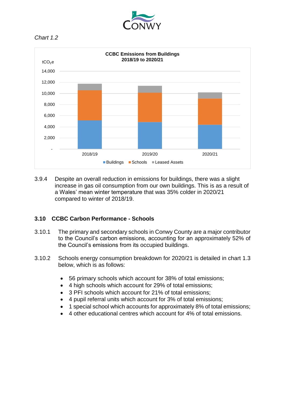





3.9.4 Despite an overall reduction in emissions for buildings, there was a slight increase in gas oil consumption from our own buildings. This is as a result of a Wales' mean winter temperature that was 35% colder in 2020/21 compared to winter of 2018/19.

# **3.10 CCBC Carbon Performance - Schools**

- 3.10.1 The primary and secondary schools in Conwy County are a major contributor to the Council's carbon emissions, accounting for an approximately 52% of the Council's emissions from its occupied buildings.
- 3.10.2 Schools energy consumption breakdown for 2020/21 is detailed in chart 1.3 below, which is as follows:
	- 56 primary schools which account for 38% of total emissions;
	- 4 high schools which account for 29% of total emissions;
	- 3 PFI schools which account for 21% of total emissions:
	- 4 pupil referral units which account for 3% of total emissions;
	- 1 special school which accounts for approximately 8% of total emissions:
	- 4 other educational centres which account for 4% of total emissions.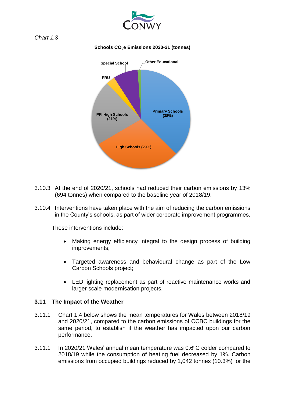



## **Schools CO2e Emissions 2020-21 (tonnes)**



- 3.10.3 At the end of 2020/21, schools had reduced their carbon emissions by 13% (694 tonnes) when compared to the baseline year of 2018/19.
- 3.10.4 Interventions have taken place with the aim of reducing the carbon emissions in the County's schools, as part of wider corporate improvement programmes.

These interventions include:

- Making energy efficiency integral to the design process of building improvements;
- Targeted awareness and behavioural change as part of the Low Carbon Schools project;
- LED lighting replacement as part of reactive maintenance works and larger scale modernisation projects.

# **3.11 The Impact of the Weather**

- 3.11.1 Chart 1.4 below shows the mean temperatures for Wales between 2018/19 and 2020/21, compared to the carbon emissions of CCBC buildings for the same period, to establish if the weather has impacted upon our carbon performance.
- 3.11.1 In 2020/21 Wales' annual mean temperature was  $0.6^{\circ}$ C colder compared to 2018/19 while the consumption of heating fuel decreased by 1%. Carbon emissions from occupied buildings reduced by 1,042 tonnes (10.3%) for the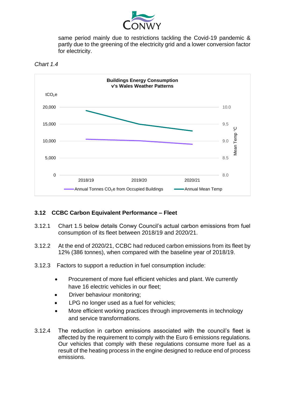

same period mainly due to restrictions tackling the Covid-19 pandemic & partly due to the greening of the electricity grid and a lower conversion factor for electricity.





# **3.12 CCBC Carbon Equivalent Performance – Fleet**

- 3.12.1 Chart 1.5 below details Conwy Council's actual carbon emissions from fuel consumption of its fleet between 2018/19 and 2020/21.
- 3.12.2 At the end of 2020/21, CCBC had reduced carbon emissions from its fleet by 12% (386 tonnes), when compared with the baseline year of 2018/19.
- 3.12.3 Factors to support a reduction in fuel consumption include:
	- Procurement of more fuel efficient vehicles and plant. We currently have 16 electric vehicles in our fleet;
	- Driver behaviour monitoring;
	- LPG no longer used as a fuel for vehicles;
	- More efficient working practices through improvements in technology and service transformations.
- 3.12.4 The reduction in carbon emissions associated with the council's fleet is affected by the requirement to comply with the Euro 6 emissions regulations. Our vehicles that comply with these regulations consume more fuel as a result of the heating process in the engine designed to reduce end of process emissions.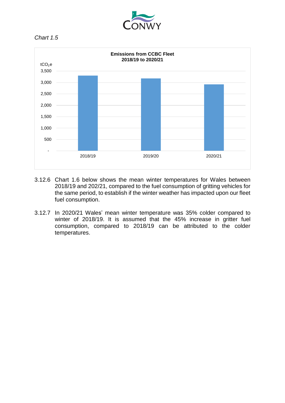





- 3.12.6 Chart 1.6 below shows the mean winter temperatures for Wales between 2018/19 and 202/21, compared to the fuel consumption of gritting vehicles for the same period, to establish if the winter weather has impacted upon our fleet fuel consumption.
- 3.12.7 In 2020/21 Wales' mean winter temperature was 35% colder compared to winter of 2018/19. It is assumed that the 45% increase in gritter fuel consumption, compared to 2018/19 can be attributed to the colder temperatures.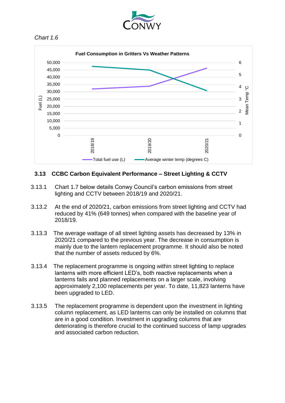



# **3.13 CCBC Carbon Equivalent Performance – Street Lighting & CCTV**

- 3.13.1 Chart 1.7 below details Conwy Council's carbon emissions from street lighting and CCTV between 2018/19 and 2020/21.
- 3.13.2 At the end of 2020/21, carbon emissions from street lighting and CCTV had reduced by 41% (649 tonnes) when compared with the baseline year of 2018/19.
- 3.13.3 The average wattage of all street lighting assets has decreased by 13% in 2020/21 compared to the previous year. The decrease in consumption is mainly due to the lantern replacement programme. It should also be noted that the number of assets reduced by 6%.
- 3.13.4 The replacement programme is ongoing within street lighting to replace lanterns with more efficient LED's, both reactive replacements when a lanterns fails and planned replacements on a larger scale, involving approximately 2,100 replacements per year. To date, 11,823 lanterns have been upgraded to LED.
- 3.13.5 The replacement programme is dependent upon the investment in lighting column replacement, as LED lanterns can only be installed on columns that are in a good condition. Investment in upgrading columns that are deteriorating is therefore crucial to the continued success of lamp upgrades and associated carbon reduction.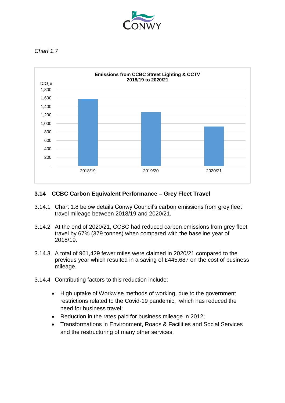



# **3.14 CCBC Carbon Equivalent Performance – Grey Fleet Travel**

- 3.14.1 Chart 1.8 below details Conwy Council's carbon emissions from grey fleet travel mileage between 2018/19 and 2020/21.
- 3.14.2 At the end of 2020/21, CCBC had reduced carbon emissions from grey fleet travel by 67% (379 tonnes) when compared with the baseline year of 2018/19.
- 3.14.3 A total of 961,429 fewer miles were claimed in 2020/21 compared to the previous year which resulted in a saving of £445,687 on the cost of business mileage.
- 3.14.4 Contributing factors to this reduction include:
	- High uptake of Workwise methods of working, due to the government restrictions related to the Covid-19 pandemic, which has reduced the need for business travel;
	- Reduction in the rates paid for business mileage in 2012;
	- Transformations in Environment, Roads & Facilities and Social Services and the restructuring of many other services.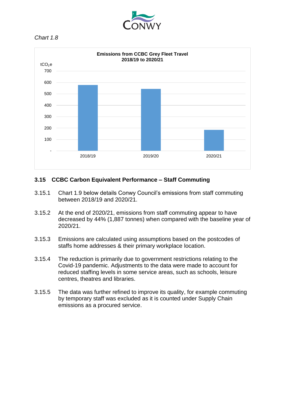



# **3.15 CCBC Carbon Equivalent Performance – Staff Commuting**

- 3.15.1 Chart 1.9 below details Conwy Council's emissions from staff commuting between 2018/19 and 2020/21.
- 3.15.2 At the end of 2020/21, emissions from staff commuting appear to have decreased by 44% (1,887 tonnes) when compared with the baseline year of 2020/21.
- 3.15.3 Emissions are calculated using assumptions based on the postcodes of staffs home addresses & their primary workplace location.
- 3.15.4 The reduction is primarily due to government restrictions relating to the Covid-19 pandemic. Adjustments to the data were made to account for reduced staffing levels in some service areas, such as schools, leisure centres, theatres and libraries.
- 3.15.5 The data was further refined to improve its quality, for example commuting by temporary staff was excluded as it is counted under Supply Chain emissions as a procured service.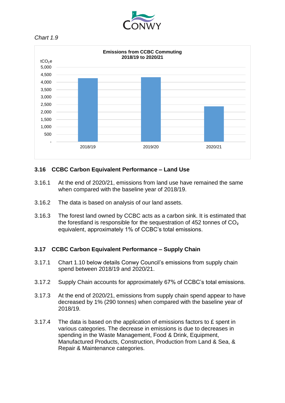





# **3.16 CCBC Carbon Equivalent Performance – Land Use**

- 3.16.1 At the end of 2020/21, emissions from land use have remained the same when compared with the baseline year of 2018/19.
- 3.16.2 The data is based on analysis of our land assets.
- 3.16.3 The forest land owned by CCBC acts as a carbon sink. It is estimated that the forestland is responsible for the sequestration of 452 tonnes of CO₂ equivalent, approximately 1% of CCBC's total emissions.

# **3.17 CCBC Carbon Equivalent Performance – Supply Chain**

- 3.17.1 Chart 1.10 below details Conwy Council's emissions from supply chain spend between 2018/19 and 2020/21.
- 3.17.2 Supply Chain accounts for approximately 67% of CCBC's total emissions.
- 3.17.3 At the end of 2020/21, emissions from supply chain spend appear to have decreased by 1% (290 tonnes) when compared with the baseline year of 2018/19.
- 3.17.4 The data is based on the application of emissions factors to £ spent in various categories. The decrease in emissions is due to decreases in spending in the Waste Management, Food & Drink, Equipment, Manufactured Products, Construction, Production from Land & Sea, & Repair & Maintenance categories.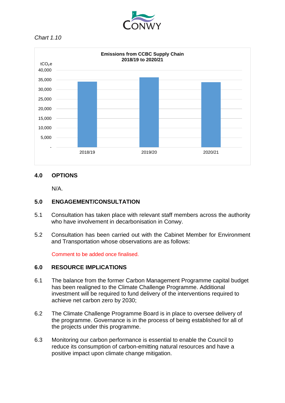



# **4.0 OPTIONS**

N/A.

# **5.0 ENGAGEMENT/CONSULTATION**

- 5.1 Consultation has taken place with relevant staff members across the authority who have involvement in decarbonisation in Conwy.
- 5.2 Consultation has been carried out with the Cabinet Member for Environment and Transportation whose observations are as follows:

Comment to be added once finalised.

# **6.0 RESOURCE IMPLICATIONS**

- 6.1 The balance from the former Carbon Management Programme capital budget has been realigned to the Climate Challenge Programme. Additional investment will be required to fund delivery of the interventions required to achieve net carbon zero by 2030;
- 6.2 The Climate Challenge Programme Board is in place to oversee delivery of the programme. Governance is in the process of being established for all of the projects under this programme.
- 6.3 Monitoring our carbon performance is essential to enable the Council to reduce its consumption of carbon-emitting natural resources and have a positive impact upon climate change mitigation.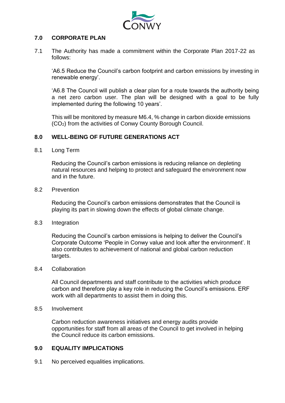

# **7.0 CORPORATE PLAN**

7.1 The Authority has made a commitment within the Corporate Plan 2017-22 as follows:

'A6.5 Reduce the Council's carbon footprint and carbon emissions by investing in renewable energy'.

'A6.8 The Council will publish a clear plan for a route towards the authority being a net zero carbon user. The plan will be designed with a goal to be fully implemented during the following 10 years'.

This will be monitored by measure M6.4, % change in carbon dioxide emissions (CO2) from the activities of Conwy County Borough Council.

# **8.0 WELL-BEING OF FUTURE GENERATIONS ACT**

8.1 Long Term

Reducing the Council's carbon emissions is reducing reliance on depleting natural resources and helping to protect and safeguard the environment now and in the future.

#### 8.2 Prevention

Reducing the Council's carbon emissions demonstrates that the Council is playing its part in slowing down the effects of global climate change.

8.3 Integration

Reducing the Council's carbon emissions is helping to deliver the Council's Corporate Outcome 'People in Conwy value and look after the environment'. It also contributes to achievement of national and global carbon reduction targets.

8.4 Collaboration

All Council departments and staff contribute to the activities which produce carbon and therefore play a key role in reducing the Council's emissions. ERF work with all departments to assist them in doing this.

8.5 Involvement

Carbon reduction awareness initiatives and energy audits provide opportunities for staff from all areas of the Council to get involved in helping the Council reduce its carbon emissions.

#### **9.0 EQUALITY IMPLICATIONS**

9.1 No perceived equalities implications.